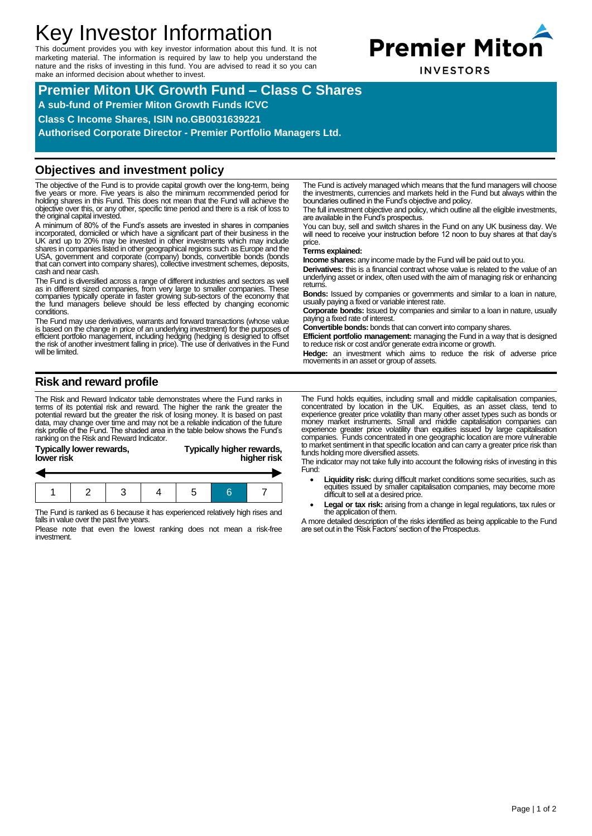# Key Investor Information

This document provides you with key investor information about this fund. It is not marketing material. The information is required by law to help you understand the nature and the risks of investing in this fund. You are advised to read it so you can make an informed decision about whether to invest.



**INVESTORS** 

## **Premier Miton UK Growth Fund – Class C Shares A sub-fund of Premier Miton Growth Funds ICVC Class C Income Shares, ISIN no.GB0031639221 Authorised Corporate Director - Premier Portfolio Managers Ltd.**

### **Objectives and investment policy**

The objective of the Fund is to provide capital growth over the long-term, being<br>five years or more. Five years is also the minimum recommended period for<br>holding shares in this Fund. This does not mean that the Fund will objective over this, or any other, specific time period and there is a risk of loss to the original capital invested.

A minimum of 80% of the Fund's assets are invested in shares in companies incorporated, domiciled or which have a significant part of their business in the UK and up to 20% may be invested in other investments which may include<br>Shares in companies listed in other geographical regions such as Eur that can convert into company shares), collective investment schemes, deposits, cash and near cash.

The Fund is diversified across a range of different industries and sectors as well as in different sized companies, from very large to smaller companies. These<br>companies typically operate in faster growing sub-sectors of the economy that<br>the fund managers believe should be less effected by changing econo conditions.

The Fund may use derivatives, warrants and forward transactions (whose value is based on the change in price of an underlying investment) for the purposes of efficient portfolio management, including hedging (hedging is designed to offset the risk of another investment falling in price). The use of derivatives in the Fund will be limited.

**Risk and reward profile**

The Risk and Reward Indicator table demonstrates where the Fund ranks in terms of its potential risk and reward. The higher the rank the greater the potential reward but the greater the risk of losing money. It is based on past data, may change over time and may not be a reliable indication of the future risk profile of the Fund. The shaded area in the table below shows the Fund's ranking on the Risk and Reward Indicator.

| Typically lower rewards,<br>lower risk | Typically higher rewards,<br>higher risk |
|----------------------------------------|------------------------------------------|
|                                        |                                          |
|                                        |                                          |
|                                        |                                          |

The Fund is ranked as 6 because it has experienced relatively high rises and falls in value over the past five years.

1 2 3 4 5 6 7

Please note that even the lowest ranking does not mean a risk-free investment.

The Fund is actively managed which means that the fund managers will choose the investments, currencies and markets held in the Fund but always within the boundaries outlined in the Fund's objective and policy.

The full investment objective and policy, which outline all the eligible investments, are available in the Fund's prospectus.

You can buy, sell and switch shares in the Fund on any UK business day. We will need to receive your instruction before 12 noon to buy shares at that day's price.

#### **Terms explained:**

**Income shares:** any income made by the Fund will be paid out to you.

**Derivatives:** this is a financial contract whose value is related to the value of an underlying asset or index, often used with the aim of managing risk or enhancing returns.

**Bonds:** Issued by companies or governments and similar to a loan in nature, usually paying a fixed or variable interest rate.

**Corporate bonds:** Issued by companies and similar to a loan in nature, usually paying a fixed rate of interest.

**Convertible bonds:** bonds that can convert into company shares.

**Efficient portfolio management:** managing the Fund in a way that is designed to reduce risk or cost and/or generate extra income or growth.

**Hedge:** an investment which aims to reduce the risk of adverse price movements in an asset or group of assets.

The Fund holds equities, including small and middle capitalisation companies, concentrated by location in the UK. Equities, as an asset class, tend to experience greater price volatility than many other asset types such as bonds or money market instruments. Small and middle capitalisation companies can experience greater price volatility than equities issued by large capitalisation companies. Funds concentrated in one geographic location are more vulnerable to market sentiment in that specific location and can carry a greater price risk than funds holding more diversified assets.

The indicator may not take fully into account the following risks of investing in this Fund:

- Liquidity risk: during difficult market conditions some securities, such as equities issued by smaller capitalisation companies, may become more difficult to sell at a desired price.
- **Legal or tax risk:** arising from a change in legal regulations, tax rules or the application of them.

A more detailed description of the risks identified as being applicable to the Fund are set out in the 'Risk Factors' section of the Prospectus.